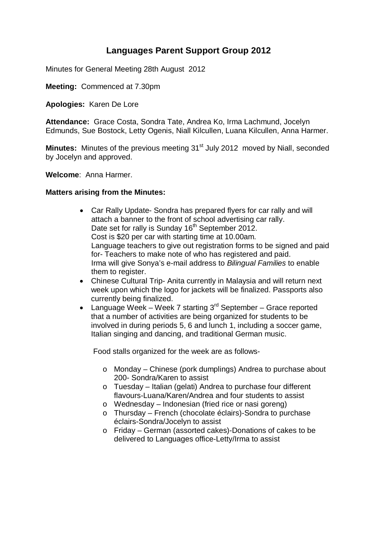## **Languages Parent Support Group 2012**

Minutes for General Meeting 28th August 2012

**Meeting:** Commenced at 7.30pm

**Apologies:** Karen De Lore

**Attendance:** Grace Costa, Sondra Tate, Andrea Ko, Irma Lachmund, Jocelyn Edmunds, Sue Bostock, Letty Ogenis, Niall Kilcullen, Luana Kilcullen, Anna Harmer.

**Minutes:** Minutes of the previous meeting 31<sup>st</sup> July 2012 moved by Niall, seconded by Jocelyn and approved.

**Welcome**: Anna Harmer.

## **Matters arising from the Minutes:**

- Car Rally Update- Sondra has prepared flyers for car rally and will attach a banner to the front of school advertising car rally. Date set for rally is Sunday 16<sup>th</sup> September 2012. Cost is \$20 per car with starting time at 10.00am. Language teachers to give out registration forms to be signed and paid for- Teachers to make note of who has registered and paid. Irma will give Sonya's e-mail address to *Bilingual Families* to enable them to register.
- Chinese Cultural Trip- Anita currently in Malaysia and will return next week upon which the logo for jackets will be finalized. Passports also currently being finalized.
- Language Week Week 7 starting  $3^{rd}$  September Grace reported that a number of activities are being organized for students to be involved in during periods 5, 6 and lunch 1, including a soccer game, Italian singing and dancing, and traditional German music.

Food stalls organized for the week are as follows-

- o Monday Chinese (pork dumplings) Andrea to purchase about 200- Sondra/Karen to assist
- $\circ$  Tuesday Italian (gelati) Andrea to purchase four different flavours-Luana/Karen/Andrea and four students to assist
- o Wednesday Indonesian (fried rice or nasi goreng)
- o Thursday French (chocolate éclairs)-Sondra to purchase éclairs-Sondra/Jocelyn to assist
- o Friday German (assorted cakes)-Donations of cakes to be delivered to Languages office-Letty/Irma to assist